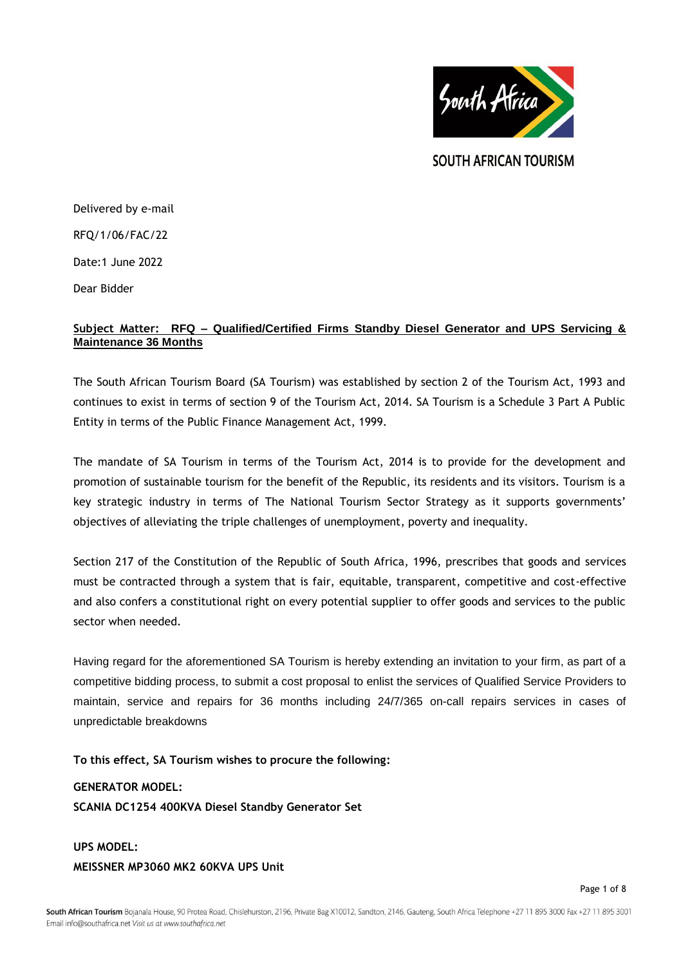

SOUTH AFRICAN TOURISM

Delivered by e-mail RFQ/1/06/FAC/22 Date:1 June 2022 Dear Bidder

# **Subject Matter: RFQ – Qualified/Certified Firms Standby Diesel Generator and UPS Servicing & Maintenance 36 Months**

The South African Tourism Board (SA Tourism) was established by section 2 of the Tourism Act, 1993 and continues to exist in terms of section 9 of the Tourism Act, 2014. SA Tourism is a Schedule 3 Part A Public Entity in terms of the Public Finance Management Act, 1999.

The mandate of SA Tourism in terms of the Tourism Act, 2014 is to provide for the development and promotion of sustainable tourism for the benefit of the Republic, its residents and its visitors. Tourism is a key strategic industry in terms of The National Tourism Sector Strategy as it supports governments' objectives of alleviating the triple challenges of unemployment, poverty and inequality.

Section 217 of the Constitution of the Republic of South Africa, 1996, prescribes that goods and services must be contracted through a system that is fair, equitable, transparent, competitive and cost-effective and also confers a constitutional right on every potential supplier to offer goods and services to the public sector when needed.

Having regard for the aforementioned SA Tourism is hereby extending an invitation to your firm, as part of a competitive bidding process, to submit a cost proposal to enlist the services of Qualified Service Providers to maintain, service and repairs for 36 months including 24/7/365 on-call repairs services in cases of unpredictable breakdowns

**To this effect, SA Tourism wishes to procure the following:**

# **GENERATOR MODEL:**

**SCANIA DC1254 400KVA Diesel Standby Generator Set** 

# **UPS MODEL: MEISSNER MP3060 MK2 60KVA UPS Unit**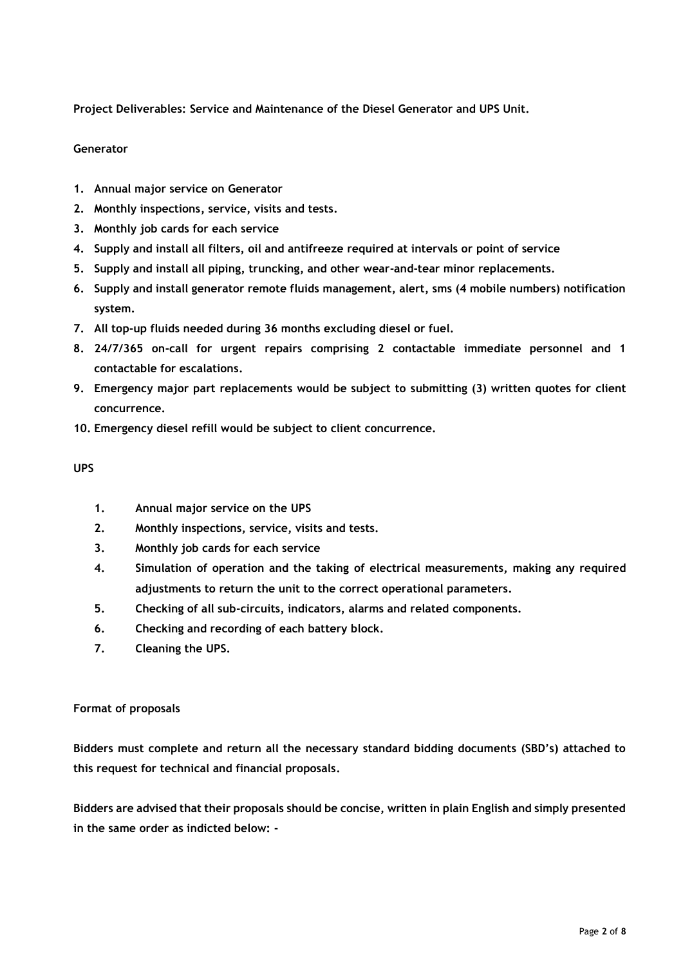**Project Deliverables: Service and Maintenance of the Diesel Generator and UPS Unit.**

## **Generator**

- **1. Annual major service on Generator**
- **2. Monthly inspections, service, visits and tests.**
- **3. Monthly job cards for each service**
- **4. Supply and install all filters, oil and antifreeze required at intervals or point of service**
- **5. Supply and install all piping, truncking, and other wear-and-tear minor replacements.**
- **6. Supply and install generator remote fluids management, alert, sms (4 mobile numbers) notification system.**
- **7. All top-up fluids needed during 36 months excluding diesel or fuel.**
- **8. 24/7/365 on-call for urgent repairs comprising 2 contactable immediate personnel and 1 contactable for escalations.**
- **9. Emergency major part replacements would be subject to submitting (3) written quotes for client concurrence.**
- **10. Emergency diesel refill would be subject to client concurrence.**

## **UPS**

- **1. Annual major service on the UPS**
- **2. Monthly inspections, service, visits and tests.**
- **3. Monthly job cards for each service**
- **4. Simulation of operation and the taking of electrical measurements, making any required adjustments to return the unit to the correct operational parameters.**
- **5. Checking of all sub-circuits, indicators, alarms and related components.**
- **6. Checking and recording of each battery block.**
- **7. Cleaning the UPS.**

## **Format of proposals**

**Bidders must complete and return all the necessary standard bidding documents (SBD's) attached to this request for technical and financial proposals.**

**Bidders are advised that their proposals should be concise, written in plain English and simply presented in the same order as indicted below: -**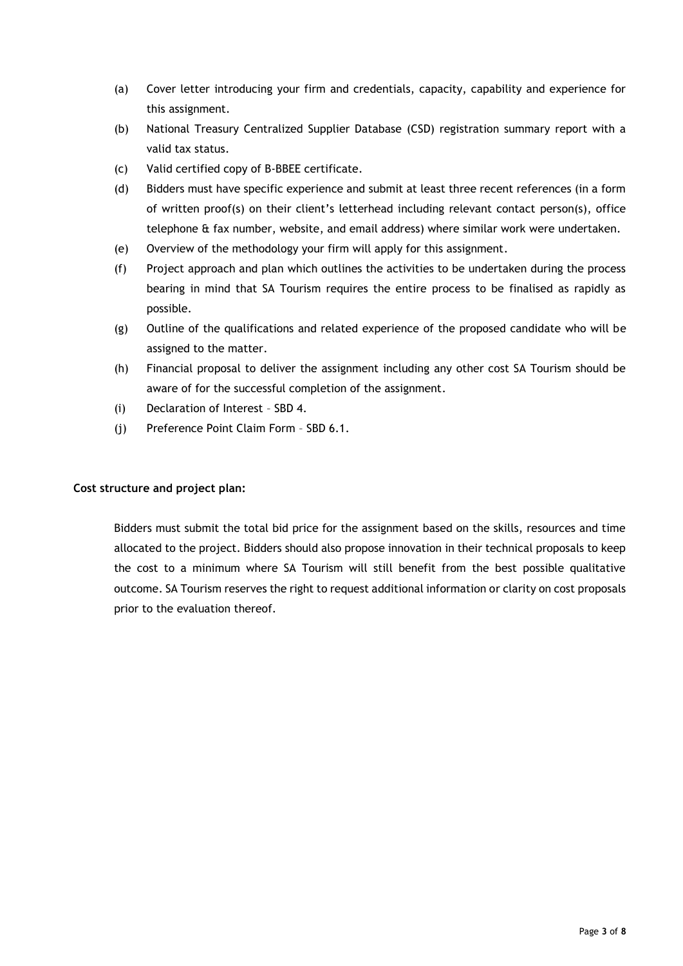- (a) Cover letter introducing your firm and credentials, capacity, capability and experience for this assignment.
- (b) National Treasury Centralized Supplier Database (CSD) registration summary report with a valid tax status.
- (c) Valid certified copy of B-BBEE certificate.
- (d) Bidders must have specific experience and submit at least three recent references (in a form of written proof(s) on their client's letterhead including relevant contact person(s), office telephone & fax number, website, and email address) where similar work were undertaken.
- (e) Overview of the methodology your firm will apply for this assignment.
- (f) Project approach and plan which outlines the activities to be undertaken during the process bearing in mind that SA Tourism requires the entire process to be finalised as rapidly as possible.
- (g) Outline of the qualifications and related experience of the proposed candidate who will be assigned to the matter.
- (h) Financial proposal to deliver the assignment including any other cost SA Tourism should be aware of for the successful completion of the assignment.
- (i) Declaration of Interest SBD 4.
- (j) Preference Point Claim Form SBD 6.1.

# **Cost structure and project plan:**

Bidders must submit the total bid price for the assignment based on the skills, resources and time allocated to the project. Bidders should also propose innovation in their technical proposals to keep the cost to a minimum where SA Tourism will still benefit from the best possible qualitative outcome. SA Tourism reserves the right to request additional information or clarity on cost proposals prior to the evaluation thereof.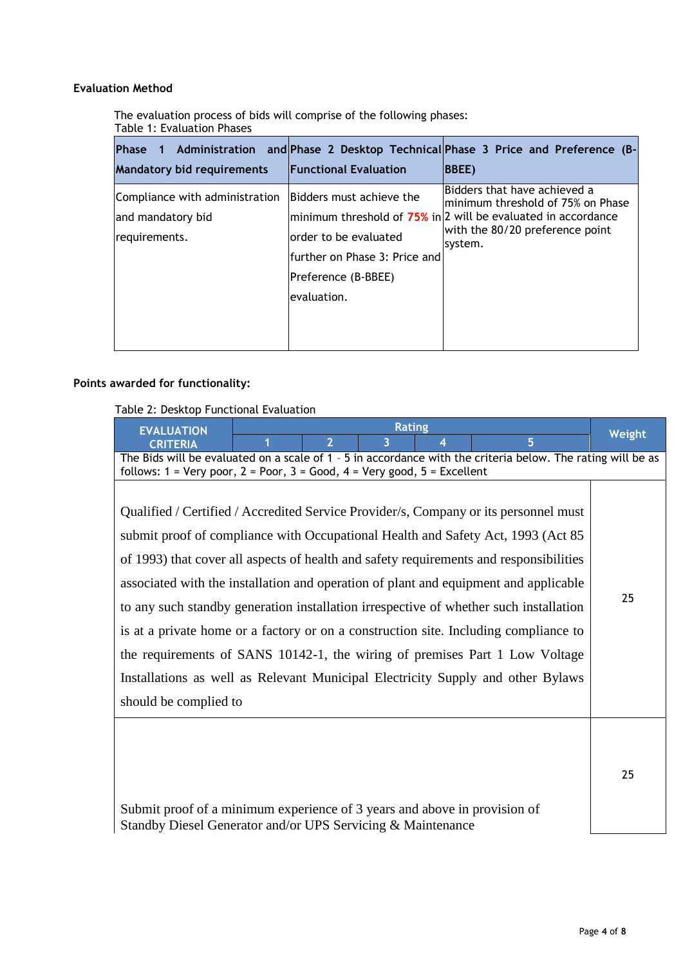# **Evaluation Method**

The evaluation process of bids will comprise of the following phases: Table 1: Evaluation Phases

| 1 Administration<br><b>IPhase</b> |                               | and Phase 2 Desktop Technical Phase 3 Price and Preference (B-    |
|-----------------------------------|-------------------------------|-------------------------------------------------------------------|
| <b>Mandatory bid requirements</b> | <b>Functional Evaluation</b>  | <b>BBEE</b> )                                                     |
| Compliance with administration    | Bidders must achieve the      | Bidders that have achieved a<br>minimum threshold of 75% on Phase |
| and mandatory bid                 |                               | minimum threshold of 75% in 2 will be evaluated in accordance     |
| requirements.                     | order to be evaluated         | with the 80/20 preference point<br>system.                        |
|                                   | further on Phase 3: Price and |                                                                   |
|                                   | Preference (B-BBEE)           |                                                                   |
|                                   | levaluation.                  |                                                                   |
|                                   |                               |                                                                   |
|                                   |                               |                                                                   |

# **Points awarded for functionality:**

Table 2: Desktop Functional Evaluation

| <b>EVALUATION</b>                                                                                                                                                                                                                                                                                                                                                                                                                                                                                                                                                                                                                                                                                                                       | <b>Rating</b>                                                                                                                                                                                                                |                | Weight |   |    |
|-----------------------------------------------------------------------------------------------------------------------------------------------------------------------------------------------------------------------------------------------------------------------------------------------------------------------------------------------------------------------------------------------------------------------------------------------------------------------------------------------------------------------------------------------------------------------------------------------------------------------------------------------------------------------------------------------------------------------------------------|------------------------------------------------------------------------------------------------------------------------------------------------------------------------------------------------------------------------------|----------------|--------|---|----|
| <b>CRITERIA</b>                                                                                                                                                                                                                                                                                                                                                                                                                                                                                                                                                                                                                                                                                                                         |                                                                                                                                                                                                                              | $\overline{2}$ | 3      | 5 |    |
|                                                                                                                                                                                                                                                                                                                                                                                                                                                                                                                                                                                                                                                                                                                                         | The Bids will be evaluated on a scale of 1 - 5 in accordance with the criteria below. The rating will be as<br>follows: $1 = \text{Very poor}, 2 = \text{Poor}, 3 = \text{Good}, 4 = \text{Very good}, 5 = \text{Excellent}$ |                |        |   |    |
| Qualified / Certified / Accredited Service Provider/s, Company or its personnel must<br>submit proof of compliance with Occupational Health and Safety Act, 1993 (Act 85)<br>of 1993) that cover all aspects of health and safety requirements and responsibilities<br>associated with the installation and operation of plant and equipment and applicable<br>to any such standby generation installation irrespective of whether such installation<br>is at a private home or a factory or on a construction site. Including compliance to<br>the requirements of SANS 10142-1, the wiring of premises Part 1 Low Voltage<br>Installations as well as Relevant Municipal Electricity Supply and other Bylaws<br>should be complied to |                                                                                                                                                                                                                              | 25             |        |   |    |
| Submit proof of a minimum experience of 3 years and above in provision of<br>Standby Diesel Generator and/or UPS Servicing & Maintenance                                                                                                                                                                                                                                                                                                                                                                                                                                                                                                                                                                                                |                                                                                                                                                                                                                              |                |        |   | 25 |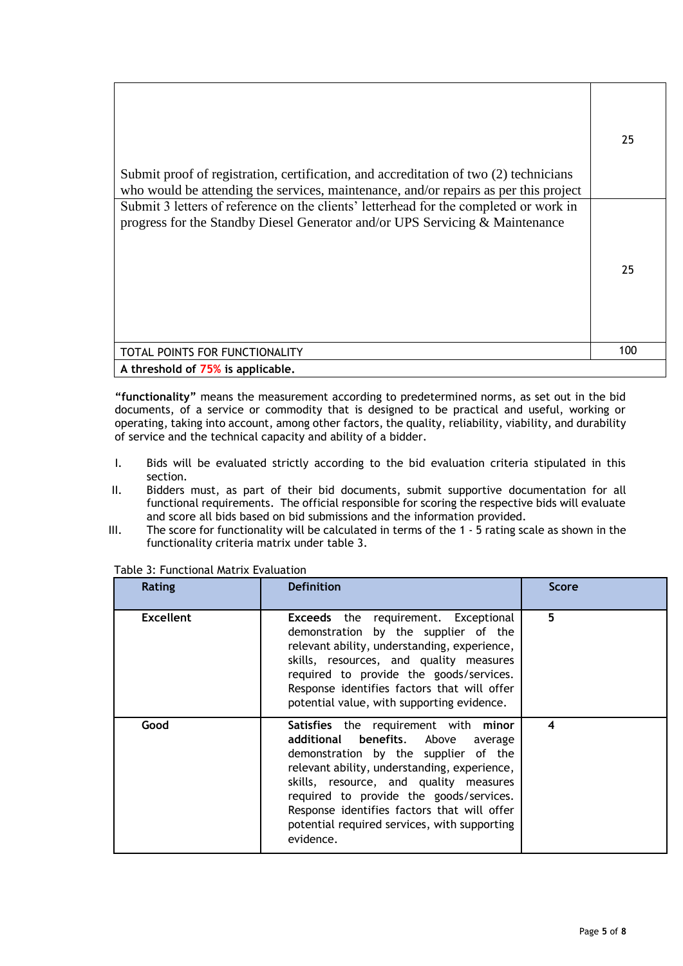| Submit proof of registration, certification, and accreditation of two (2) technicians<br>who would be attending the services, maintenance, and/or repairs as per this project | 25  |
|-------------------------------------------------------------------------------------------------------------------------------------------------------------------------------|-----|
| Submit 3 letters of reference on the clients' letterhead for the completed or work in<br>progress for the Standby Diesel Generator and/or UPS Servicing & Maintenance         | 25  |
| TOTAL POINTS FOR FUNCTIONALITY                                                                                                                                                | 100 |
| A threshold of 75% is applicable.                                                                                                                                             |     |

**"functionality"** means the measurement according to predetermined norms, as set out in the bid documents, of a service or commodity that is designed to be practical and useful, working or operating, taking into account, among other factors, the quality, reliability, viability, and durability of service and the technical capacity and ability of a bidder.

- I. Bids will be evaluated strictly according to the bid evaluation criteria stipulated in this section.
- II. Bidders must, as part of their bid documents, submit supportive documentation for all functional requirements. The official responsible for scoring the respective bids will evaluate and score all bids based on bid submissions and the information provided.
- III. The score for functionality will be calculated in terms of the 1 5 rating scale as shown in the functionality criteria matrix under table 3.

| <b>Rating</b>    | <b>Definition</b>                                                                                                                                                                                                                                                                                                                                                      | <b>Score</b> |
|------------------|------------------------------------------------------------------------------------------------------------------------------------------------------------------------------------------------------------------------------------------------------------------------------------------------------------------------------------------------------------------------|--------------|
| <b>Excellent</b> | <b>Exceeds</b> the requirement. Exceptional<br>demonstration by the supplier of the<br>relevant ability, understanding, experience,<br>skills, resources, and quality measures<br>required to provide the goods/services.<br>Response identifies factors that will offer<br>potential value, with supporting evidence.                                                 | 5            |
| Good             | Satisfies the requirement with minor<br>additional benefits. Above<br>average<br>demonstration by the supplier of the<br>relevant ability, understanding, experience,<br>skills, resource, and quality measures<br>required to provide the goods/services.<br>Response identifies factors that will offer<br>potential required services, with supporting<br>evidence. | 4            |

Table 3: Functional Matrix Evaluation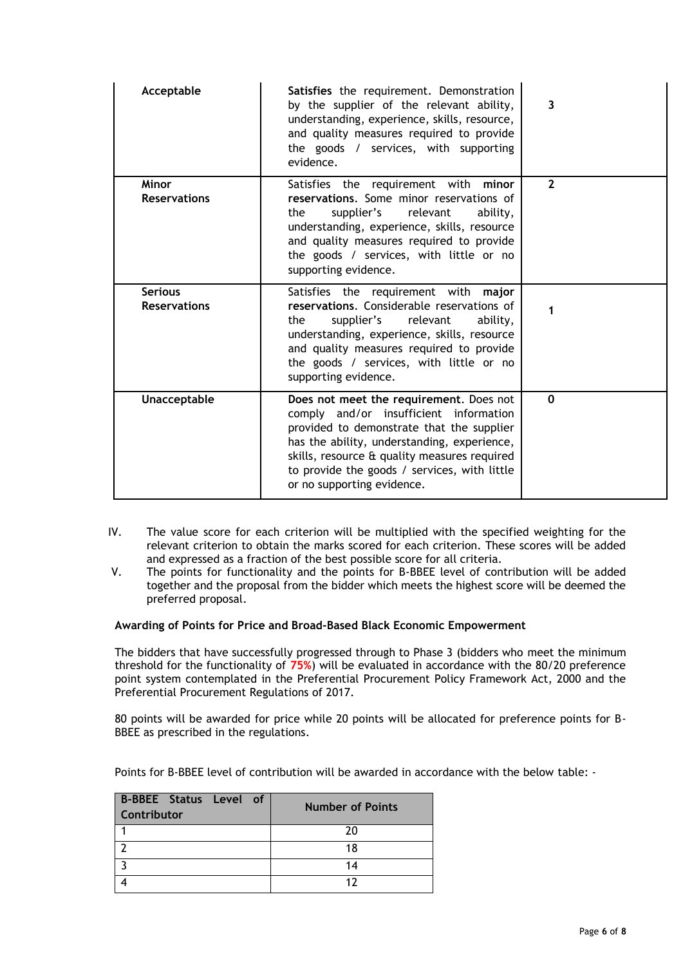| Acceptable                            | Satisfies the requirement. Demonstration<br>by the supplier of the relevant ability,<br>understanding, experience, skills, resource,<br>and quality measures required to provide<br>the goods / services, with supporting<br>evidence.                                                                      | 3              |
|---------------------------------------|-------------------------------------------------------------------------------------------------------------------------------------------------------------------------------------------------------------------------------------------------------------------------------------------------------------|----------------|
| <b>Minor</b><br><b>Reservations</b>   | Satisfies the requirement with minor<br>reservations. Some minor reservations of<br>supplier's<br>relevant<br>ability,<br>the<br>understanding, experience, skills, resource<br>and quality measures required to provide<br>the goods / services, with little or no<br>supporting evidence.                 | $\overline{2}$ |
| <b>Serious</b><br><b>Reservations</b> | Satisfies the requirement with major<br>reservations. Considerable reservations of<br>supplier's<br>relevant<br>ability,<br>the<br>understanding, experience, skills, resource<br>and quality measures required to provide<br>the goods / services, with little or no<br>supporting evidence.               | 1              |
| Unacceptable                          | Does not meet the requirement. Does not<br>comply and/or insufficient information<br>provided to demonstrate that the supplier<br>has the ability, understanding, experience,<br>skills, resource & quality measures required<br>to provide the goods / services, with little<br>or no supporting evidence. | $\mathbf{0}$   |

- IV. The value score for each criterion will be multiplied with the specified weighting for the relevant criterion to obtain the marks scored for each criterion. These scores will be added and expressed as a fraction of the best possible score for all criteria.
- V. The points for functionality and the points for B-BBEE level of contribution will be added together and the proposal from the bidder which meets the highest score will be deemed the preferred proposal.

## **Awarding of Points for Price and Broad-Based Black Economic Empowerment**

The bidders that have successfully progressed through to Phase 3 (bidders who meet the minimum threshold for the functionality of **75%**) will be evaluated in accordance with the 80/20 preference point system contemplated in the Preferential Procurement Policy Framework Act, 2000 and the Preferential Procurement Regulations of 2017.

80 points will be awarded for price while 20 points will be allocated for preference points for B-BBEE as prescribed in the regulations.

Points for B-BBEE level of contribution will be awarded in accordance with the below table: -

| <b>B-BBEE Status Level of</b><br><b>Contributor</b> | <b>Number of Points</b> |
|-----------------------------------------------------|-------------------------|
|                                                     | 20                      |
|                                                     | 18                      |
|                                                     | 14                      |
|                                                     |                         |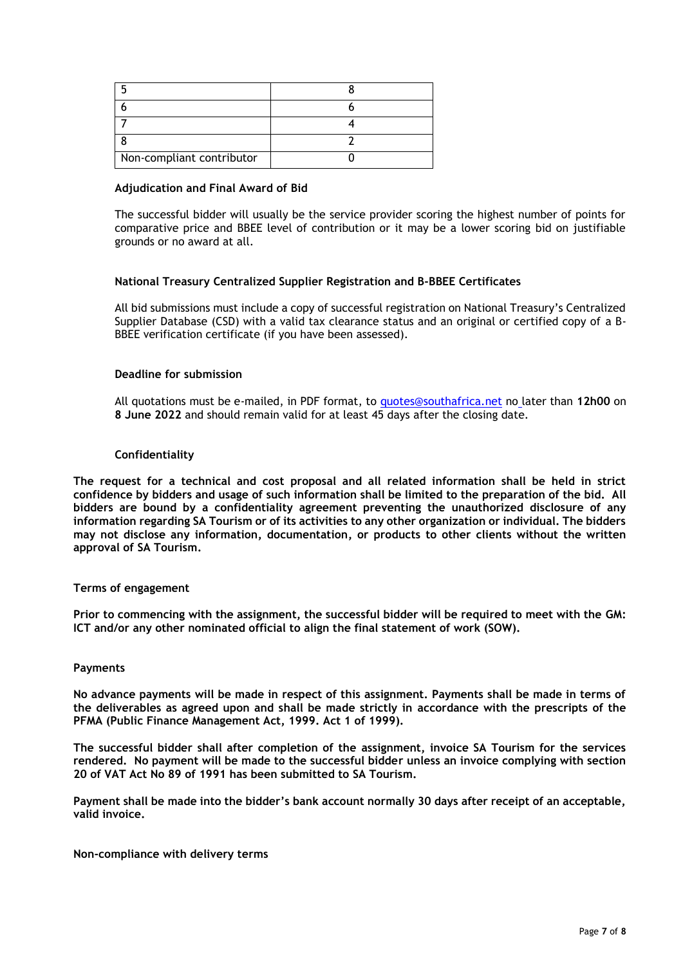| Non-compliant contributor |  |
|---------------------------|--|

#### **Adjudication and Final Award of Bid**

The successful bidder will usually be the service provider scoring the highest number of points for comparative price and BBEE level of contribution or it may be a lower scoring bid on justifiable grounds or no award at all.

#### **National Treasury Centralized Supplier Registration and B-BBEE Certificates**

All bid submissions must include a copy of successful registration on National Treasury's Centralized Supplier Database (CSD) with a valid tax clearance status and an original or certified copy of a B-BBEE verification certificate (if you have been assessed).

## **Deadline for submission**

All quotations must be e-mailed, in PDF format, to [quotes@southafrica.net](mailto:quotes@southafrica.net) no later than **12h00** on **8 June 2022** and should remain valid for at least 45 days after the closing date.

#### **Confidentiality**

**The request for a technical and cost proposal and all related information shall be held in strict confidence by bidders and usage of such information shall be limited to the preparation of the bid. All bidders are bound by a confidentiality agreement preventing the unauthorized disclosure of any information regarding SA Tourism or of its activities to any other organization or individual. The bidders may not disclose any information, documentation, or products to other clients without the written approval of SA Tourism.**

#### **Terms of engagement**

**Prior to commencing with the assignment, the successful bidder will be required to meet with the GM: ICT and/or any other nominated official to align the final statement of work (SOW).**

#### **Payments**

**No advance payments will be made in respect of this assignment. Payments shall be made in terms of the deliverables as agreed upon and shall be made strictly in accordance with the prescripts of the PFMA (Public Finance Management Act, 1999. Act 1 of 1999).**

**The successful bidder shall after completion of the assignment, invoice SA Tourism for the services rendered. No payment will be made to the successful bidder unless an invoice complying with section 20 of VAT Act No 89 of 1991 has been submitted to SA Tourism.**

**Payment shall be made into the bidder's bank account normally 30 days after receipt of an acceptable, valid invoice.**

## **Non-compliance with delivery terms**